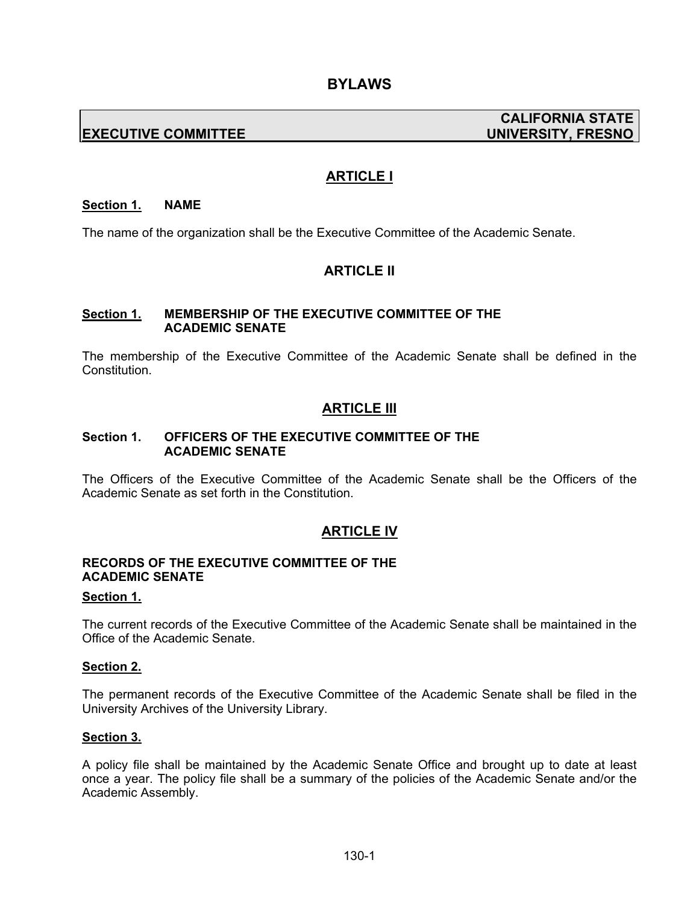# **EXECUTIVE COMMITTEE UNIVERSITY, FRESNO**

# **CALIFORNIA STATE**

# **ARTICLE I**

#### **Section 1. NAME**

The name of the organization shall be the Executive Committee of the Academic Senate.

# **ARTICLE II**

#### **Section 1. MEMBERSHIP OF THE EXECUTIVE COMMITTEE OF THE ACADEMIC SENATE**

The membership of the Executive Committee of the Academic Senate shall be defined in the Constitution.

# **ARTICLE III**

#### **Section 1. OFFICERS OF THE EXECUTIVE COMMITTEE OF THE ACADEMIC SENATE**

The Officers of the Executive Committee of the Academic Senate shall be the Officers of the Academic Senate as set forth in the Constitution.

### **ARTICLE IV**

#### **RECORDS OF THE EXECUTIVE COMMITTEE OF THE ACADEMIC SENATE**

#### **Section 1.**

The current records of the Executive Committee of the Academic Senate shall be maintained in the Office of the Academic Senate.

#### **Section 2.**

The permanent records of the Executive Committee of the Academic Senate shall be filed in the University Archives of the University Library.

#### **Section 3.**

A policy file shall be maintained by the Academic Senate Office and brought up to date at least once a year. The policy file shall be a summary of the policies of the Academic Senate and/or the Academic Assembly.